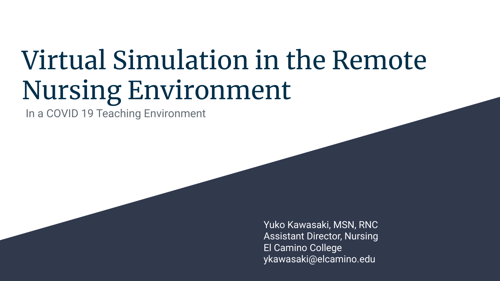# Virtual Simulation in the Remote Nursing Environment

In a COVID 19 Teaching Environment

Yuko Kawasaki, MSN, RNC Assistant Director, Nursing El Camino College ykawasaki@elcamino.edu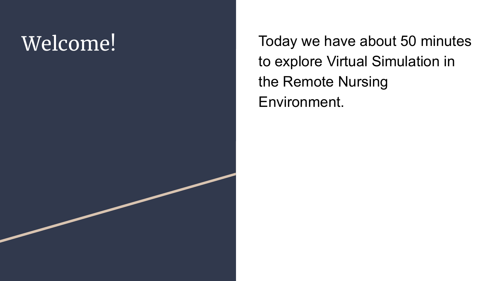Welcome! Today we have about 50 minutes to explore Virtual Simulation in the Remote Nursing Environment.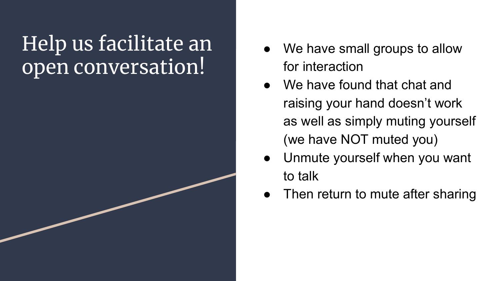### Help us facilitate an open conversation!

- We have small groups to allow for interaction
- We have found that chat and raising your hand doesn't work as well as simply muting yourself (we have NOT muted you)
- Unmute yourself when you want to talk
- Then return to mute after sharing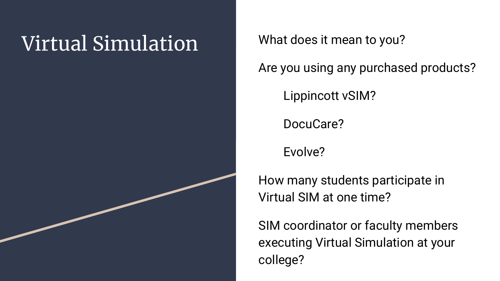### Virtual Simulation What does it mean to you?

Are you using any purchased products?

Lippincott vSIM?

DocuCare?

Evolve?

How many students participate in Virtual SIM at one time?

SIM coordinator or faculty members executing Virtual Simulation at your college?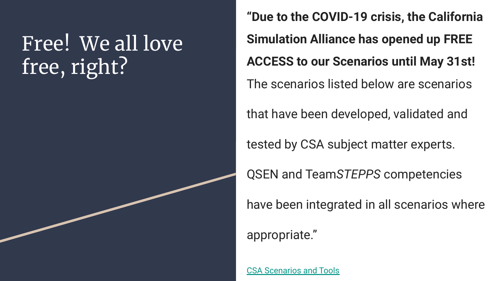### Free! We all love free, right?

**"Due to the COVID-19 crisis, the California Simulation Alliance has opened up FREE ACCESS to our Scenarios until May 31st!** The scenarios listed below are scenarios that have been developed, validated and tested by CSA subject matter experts.

QSEN and Team*STEPPS* competencies

have been integrated in all scenarios where

appropriate."

[CSA Scenarios and Tools](https://www.californiasimulationalliance.org/scenarios-and-tools/)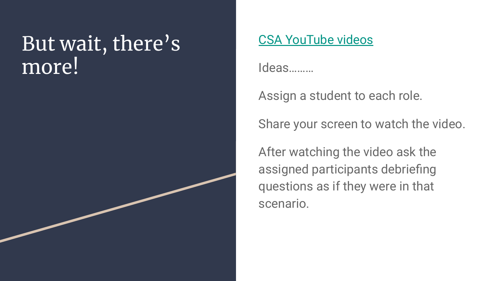### But wait, there's more!

### [CSA YouTube videos](https://www.youtube.com/channel/UCWBWq8ZTpE-HgtViCzprXEQ/videos)

Ideas………

Assign a student to each role.

Share your screen to watch the video.

After watching the video ask the assigned participants debriefing questions as if they were in that scenario.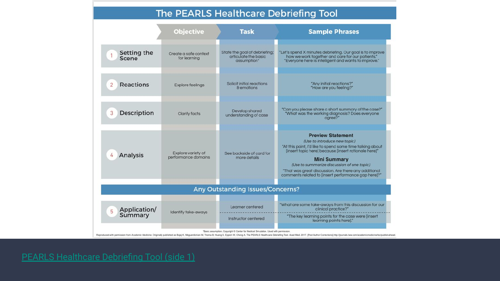#### The PEARLS Healthcare Debriefing Tool

|                                  | <b>Objective</b>                          | <b>Task</b>                                                                                                                          | <b>Sample Phrases</b>                                                                                                                                                                                                                                                                                                                                             |
|----------------------------------|-------------------------------------------|--------------------------------------------------------------------------------------------------------------------------------------|-------------------------------------------------------------------------------------------------------------------------------------------------------------------------------------------------------------------------------------------------------------------------------------------------------------------------------------------------------------------|
| Setting the<br><b>Scene</b>      | Create a safe context<br>for learning     | State the goal of debriefing;<br>articulate the basic<br>assumption*                                                                 | "Let's spend X minutes debriefing. Our goal is to improve<br>how we work together and care for our patients."<br>"Everyone here is intelligent and wants to improve."                                                                                                                                                                                             |
| Reactions<br>$\overline{2}$      | <b>Explore feelings</b>                   | Solicit initial reactions<br>& emotions                                                                                              | "Any initial reactions?"<br>"How are you feeling?"                                                                                                                                                                                                                                                                                                                |
| Description<br>3                 | Clarify facts                             | Develop shared<br>understanding of case                                                                                              | "Can you please share a short summary of the case?"<br>"What was the working diagnosis? Does everyone<br>aaree?"                                                                                                                                                                                                                                                  |
| Analysis                         | Explore variety of<br>performance domains | See backside of card for<br>more details                                                                                             | <b>Preview Statement</b><br>(Use to introduce new topic)<br>"At this point, I'd like to spend some time talking about<br>[insert topic here] because [insert rationale here]"<br><b>Mini Summary</b><br>(Use to summarize discussion of one topic)<br>"That was great discussion. Are there any additional<br>comments related to [insert performance gap here]?" |
| Any Outstanding Issues/Concerns? |                                           |                                                                                                                                      |                                                                                                                                                                                                                                                                                                                                                                   |
| Application/<br>5<br>Summary     | Identify take-aways                       | Learner centered<br>Instructor centered                                                                                              | "What are some take-aways from this discussion for our<br>clinical practice?"<br>"The key learning points for the case were [insert<br>learning points here]."                                                                                                                                                                                                    |
|                                  |                                           | "Basic assumption, Copyright C Center for Medical Simulation. Used with permission<br>$-$ 5 $-$ The $-$ The T-R PM of A R $ -$ 5 $-$ |                                                                                                                                                                                                                                                                                                                                                                   |

Reproduced with pem sic Medicine. Originally published as Bajaj K, Meguerdichian M, Thoma B, Huang S, Eppich W, Cheng A. The PEARLS Healthcare Debriefing Tool. Acad Med. 2017. [Post Author Corrections].http://journals.lww.com/academ Idicine/toc/publish.ahead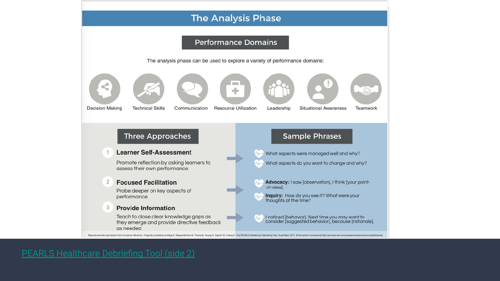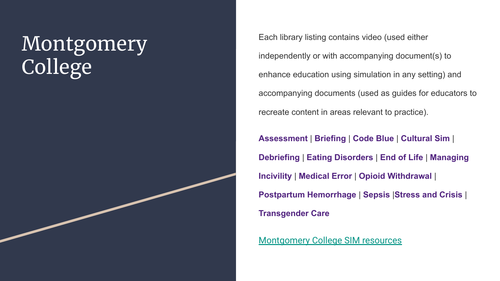### Montgomery College

Each library listing contains video (used either independently or with accompanying document(s) to enhance education using simulation in any setting) and accompanying documents (used as guides for educators to recreate content in areas relevant to practice).

**[Assessment](https://www.montgomerycollege.edu/academics/departments/nursing-tpss/nursing-simulation-scenario-library.html#simulationscenarioassessment)** | **[Briefing](https://www.montgomerycollege.edu/academics/departments/nursing-tpss/nursing-simulation-scenario-library.html#simulationresourcebriefing)** | **[Code Blue](https://www.montgomerycollege.edu/academics/departments/nursing-tpss/nursing-simulation-scenario-library.html#simulationscenariocodeblue)** | **[Cultural Sim](https://www.montgomerycollege.edu/academics/departments/nursing-tpss/nursing-simulation-scenario-library.html#simulationscenarioculturalsim)** | **[Debriefing](https://www.montgomerycollege.edu/academics/departments/nursing-tpss/nursing-simulation-scenario-library.html#simulationresourcedebriefing)** | **[Eating Disorders](https://www.montgomerycollege.edu/academics/departments/nursing-tpss/nursing-simulation-scenario-library.html#simulationscenarioeatingdisorders)** | **[End of Life](https://www.montgomerycollege.edu/academics/departments/nursing-tpss/nursing-simulation-scenario-library.html#simulationscenarioendoflife)** | **[Managing](https://www.montgomerycollege.edu/academics/departments/nursing-tpss/nursing-simulation-scenario-library.html#simulationresourcemanagingincivility) [Incivility](https://www.montgomerycollege.edu/academics/departments/nursing-tpss/nursing-simulation-scenario-library.html#simulationresourcemanagingincivility)** | **[Medical Error](https://www.montgomerycollege.edu/academics/departments/nursing-tpss/nursing-simulation-scenario-library.html#simulationscenariomedicalerror)** | **[Opioid Withdrawal](https://www.montgomerycollege.edu/academics/departments/nursing-tpss/nursing-simulation-scenario-library.html#simulationscenarioopioidwithdrawal)** | **[Postpartum Hemorrhage](https://www.montgomerycollege.edu/academics/departments/nursing-tpss/nursing-simulation-scenario-library.html#simulationscenariopostpartumhemorrhage)** | **[Sepsis](https://www.montgomerycollege.edu/academics/departments/nursing-tpss/nursing-simulation-scenario-library.html#simulationscenariosepsis)** |**[Stress and Crisis](https://www.montgomerycollege.edu/academics/departments/nursing-tpss/nursing-simulation-scenario-library.html#simulationscenariostressandcrisis)** | **[Transgender Care](https://www.montgomerycollege.edu/academics/departments/nursing-tpss/nursing-simulation-scenario-library.html#simulationscenariotransandgendernonconformingidentifiedpatientcare)**

[Montgomery College SIM resources](http://www.montgomerycollege.edu/nursingsimulations)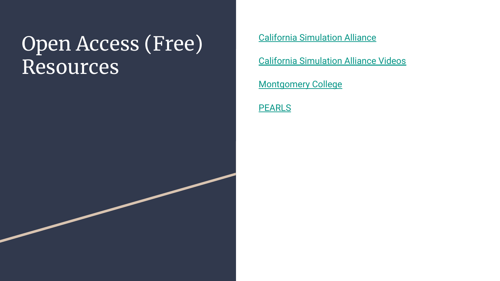### Open Access (Free) Resources

[California Simulation Alliance](https://www.californiasimulationalliance.org/scenarios-and-tools/)

[California Simulation Alliance Videos](https://www.youtube.com/channel/UCWBWq8ZTpE-HgtViCzprXEQ/videos)

**[Montgomery College](http://www.montgomerycollege.edu/nursingsimulations)** 

**[PEARLS](https://debrief2learn.org/pearls-debriefing-tool/)**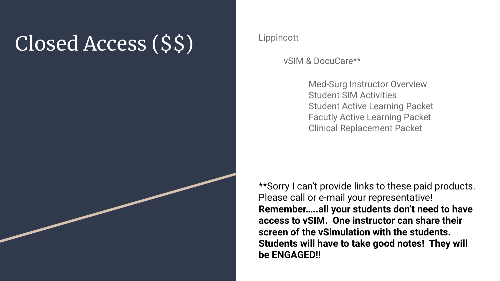## Closed Access (\$\$) Lippincott



vSIM & DocuCare\*\*

Med-Surg Instructor Overview Student SIM Activities Student Active Learning Packet Facutly Active Learning Packet Clinical Replacement Packet

\*\*Sorry I can't provide links to these paid products. Please call or e-mail your representative! **Remember…..all your students don't need to have access to vSIM. One instructor can share their screen of the vSimulation with the students. Students will have to take good notes! They will be ENGAGED!!**